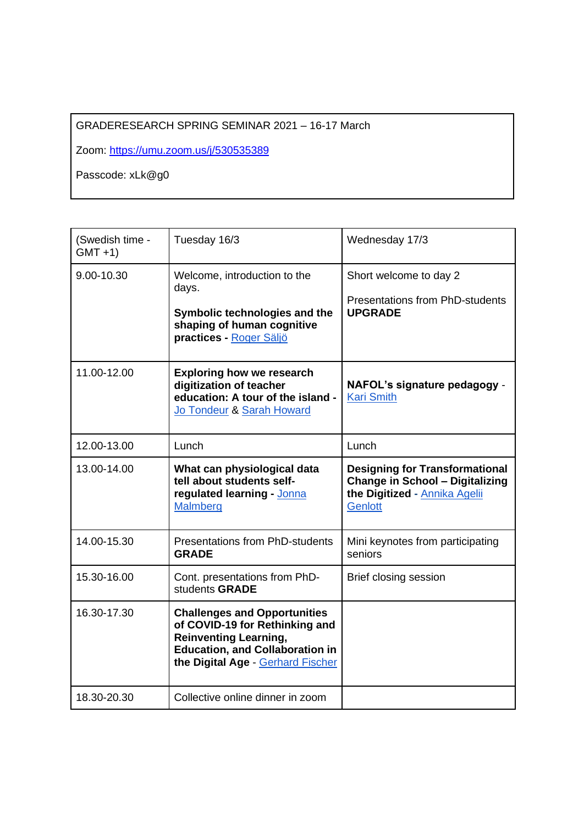# GRADERESEARCH SPRING SEMINAR 2021 – 16-17 March

Zoom:<https://umu.zoom.us/j/530535389>

Passcode: xLk@g0

| (Swedish time -<br>$GMT +1)$ | Tuesday 16/3                                                                                                                                                                         | Wednesday 17/3                                                                                                                            |
|------------------------------|--------------------------------------------------------------------------------------------------------------------------------------------------------------------------------------|-------------------------------------------------------------------------------------------------------------------------------------------|
| 9.00-10.30                   | Welcome, introduction to the<br>days.<br>Symbolic technologies and the<br>shaping of human cognitive<br>practices - Roger Säljö                                                      | Short welcome to day 2<br><b>Presentations from PhD-students</b><br><b>UPGRADE</b>                                                        |
| 11.00-12.00                  | <b>Exploring how we research</b><br>digitization of teacher<br>education: A tour of the island -<br>Jo Tondeur & Sarah Howard                                                        | NAFOL's signature pedagogy -<br><b>Kari Smith</b>                                                                                         |
| 12.00-13.00                  | Lunch                                                                                                                                                                                | Lunch                                                                                                                                     |
| 13.00-14.00                  | What can physiological data<br>tell about students self-<br>regulated learning - Jonna<br><b>Malmberg</b>                                                                            | <b>Designing for Transformational</b><br><b>Change in School - Digitalizing</b><br>the Digitized - <b>Annika Agelii</b><br><b>Genlott</b> |
| 14.00-15.30                  | <b>Presentations from PhD-students</b><br><b>GRADE</b>                                                                                                                               | Mini keynotes from participating<br>seniors                                                                                               |
| 15.30-16.00                  | Cont. presentations from PhD-<br>students GRADE                                                                                                                                      | Brief closing session                                                                                                                     |
| 16.30-17.30                  | <b>Challenges and Opportunities</b><br>of COVID-19 for Rethinking and<br><b>Reinventing Learning,</b><br><b>Education, and Collaboration in</b><br>the Digital Age - Gerhard Fischer |                                                                                                                                           |
| 18.30-20.30                  | Collective online dinner in zoom                                                                                                                                                     |                                                                                                                                           |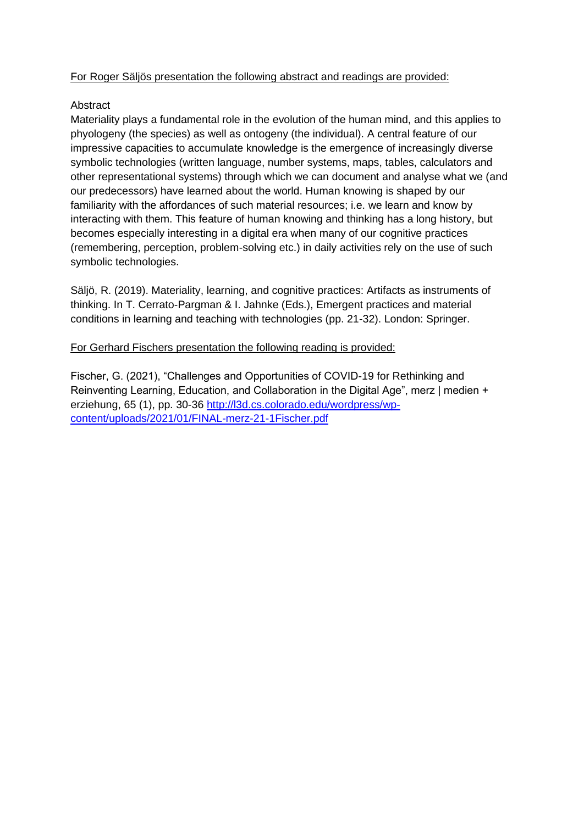## For Roger Säljös presentation the following abstract and readings are provided:

## Abstract

Materiality plays a fundamental role in the evolution of the human mind, and this applies to phyologeny (the species) as well as ontogeny (the individual). A central feature of our impressive capacities to accumulate knowledge is the emergence of increasingly diverse symbolic technologies (written language, number systems, maps, tables, calculators and other representational systems) through which we can document and analyse what we (and our predecessors) have learned about the world. Human knowing is shaped by our familiarity with the affordances of such material resources; i.e. we learn and know by interacting with them. This feature of human knowing and thinking has a long history, but becomes especially interesting in a digital era when many of our cognitive practices (remembering, perception, problem-solving etc.) in daily activities rely on the use of such symbolic technologies.

Säljö, R. (2019). Materiality, learning, and cognitive practices: Artifacts as instruments of thinking. In T. Cerrato-Pargman & I. Jahnke (Eds.), Emergent practices and material conditions in learning and teaching with technologies (pp. 21-32). London: Springer.

## For Gerhard Fischers presentation the following reading is provided:

Fischer, G. (2021), "Challenges and Opportunities of COVID-19 for Rethinking and Reinventing Learning, Education, and Collaboration in the Digital Age", merz | medien + erziehung, 65 (1), pp. 30-36 [http://l3d.cs.colorado.edu/wordpress/wp](http://l3d.cs.colorado.edu/wordpress/wp-content/uploads/2021/01/FINAL-merz-21-1Fischer.pdf)[content/uploads/2021/01/FINAL-merz-21-1Fischer.pdf](http://l3d.cs.colorado.edu/wordpress/wp-content/uploads/2021/01/FINAL-merz-21-1Fischer.pdf)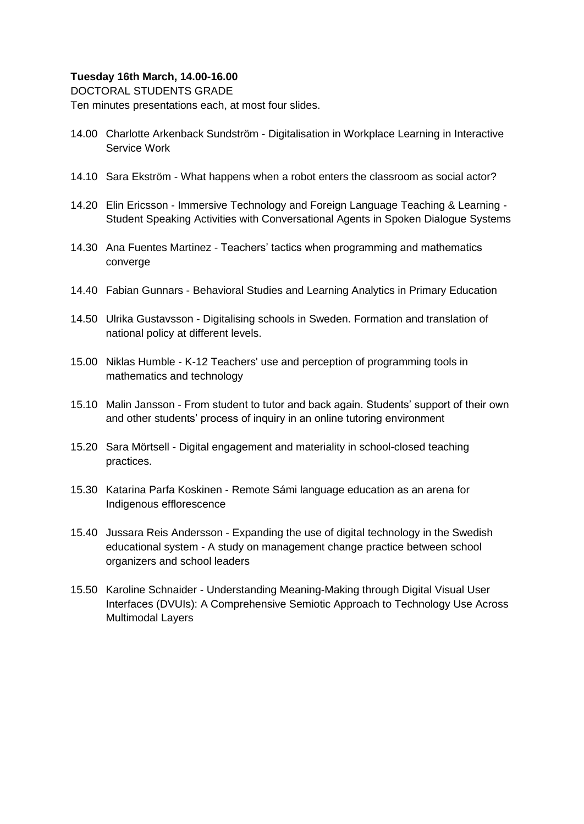### **Tuesday 16th March, 14.00-16.00**

DOCTORAL STUDENTS GRADE

Ten minutes presentations each, at most four slides.

- 14.00 Charlotte Arkenback Sundström Digitalisation in Workplace Learning in Interactive Service Work
- 14.10 Sara Ekström What happens when a robot enters the classroom as social actor?
- 14.20 Elin Ericsson Immersive Technology and Foreign Language Teaching & Learning Student Speaking Activities with Conversational Agents in Spoken Dialogue Systems
- 14.30 Ana Fuentes Martinez Teachers' tactics when programming and mathematics converge
- 14.40 Fabian Gunnars Behavioral Studies and Learning Analytics in Primary Education
- 14.50 Ulrika Gustavsson Digitalising schools in Sweden. Formation and translation of national policy at different levels.
- 15.00 Niklas Humble K-12 Teachers' use and perception of programming tools in mathematics and technology
- 15.10 Malin Jansson From student to tutor and back again. Students' support of their own and other students' process of inquiry in an online tutoring environment
- 15.20 Sara Mörtsell Digital engagement and materiality in school-closed teaching practices.
- 15.30 Katarina Parfa Koskinen Remote Sámi language education as an arena for Indigenous efflorescence
- 15.40 Jussara Reis Andersson Expanding the use of digital technology in the Swedish educational system - A study on management change practice between school organizers and school leaders
- 15.50 Karoline Schnaider Understanding Meaning-Making through Digital Visual User Interfaces (DVUIs): A Comprehensive Semiotic Approach to Technology Use Across Multimodal Layers